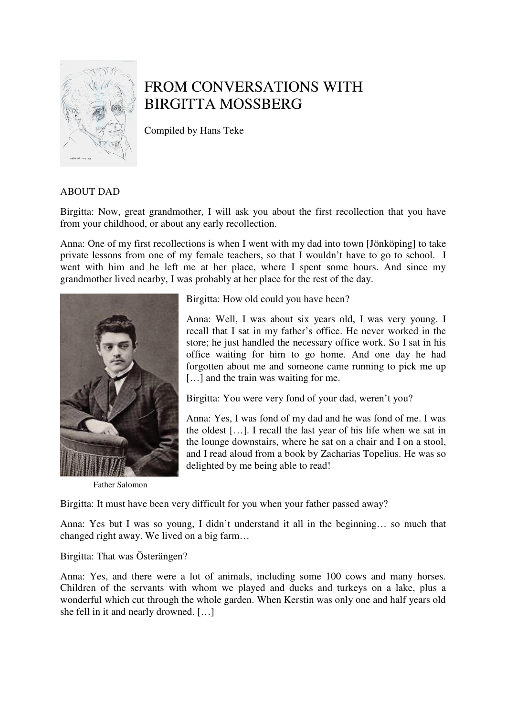

# FROM CONVERSATIONS WITH BIRGITTA MOSSBERG

Compiled by Hans Teke

# ABOUT DAD

Birgitta: Now, great grandmother, I will ask you about the first recollection that you have from your childhood, or about any early recollection.

Anna: One of my first recollections is when I went with my dad into town [Jönköping] to take private lessons from one of my female teachers, so that I wouldn't have to go to school. I went with him and he left me at her place, where I spent some hours. And since my grandmother lived nearby, I was probably at her place for the rest of the day.



Father Salomon

Birgitta: How old could you have been?

Anna: Well, I was about six years old, I was very young. I recall that I sat in my father's office. He never worked in the store; he just handled the necessary office work. So I sat in his office waiting for him to go home. And one day he had forgotten about me and someone came running to pick me up [...] and the train was waiting for me.

Birgitta: You were very fond of your dad, weren't you?

Anna: Yes, I was fond of my dad and he was fond of me. I was the oldest […]. I recall the last year of his life when we sat in the lounge downstairs, where he sat on a chair and I on a stool, and I read aloud from a book by Zacharias Topelius. He was so delighted by me being able to read!

Birgitta: It must have been very difficult for you when your father passed away?

Anna: Yes but I was so young, I didn't understand it all in the beginning… so much that changed right away. We lived on a big farm…

# Birgitta: That was Österängen?

Anna: Yes, and there were a lot of animals, including some 100 cows and many horses. Children of the servants with whom we played and ducks and turkeys on a lake, plus a wonderful which cut through the whole garden. When Kerstin was only one and half years old she fell in it and nearly drowned. […]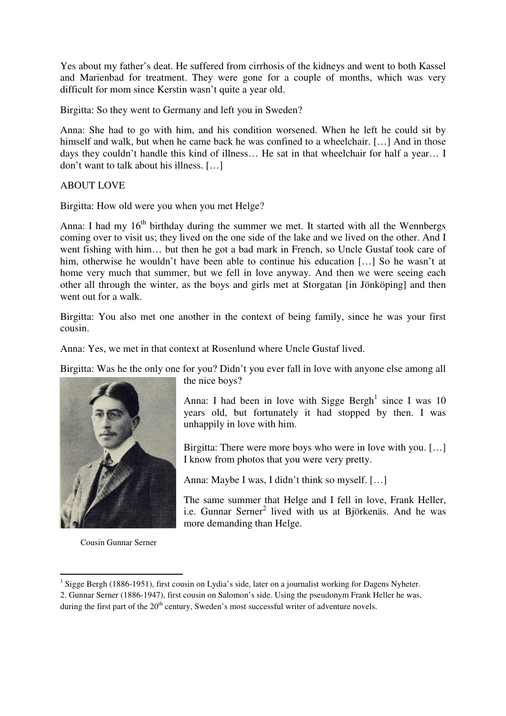Yes about my father's deat. He suffered from cirrhosis of the kidneys and went to both Kassel and Marienbad for treatment. They were gone for a couple of months, which was very difficult for mom since Kerstin wasn't quite a year old.

Birgitta: So they went to Germany and left you in Sweden?

Anna: She had to go with him, and his condition worsened. When he left he could sit by himself and walk, but when he came back he was confined to a wheelchair. [...] And in those days they couldn't handle this kind of illness… He sat in that wheelchair for half a year… I don't want to talk about his illness. […]

ABOUT LOVE

Birgitta: How old were you when you met Helge?

Anna: I had my  $16<sup>th</sup>$  birthday during the summer we met. It started with all the Wennbergs coming over to visit us; they lived on the one side of the lake and we lived on the other. And I went fishing with him… but then he got a bad mark in French, so Uncle Gustaf took care of him, otherwise he wouldn't have been able to continue his education [...] So he wasn't at home very much that summer, but we fell in love anyway. And then we were seeing each other all through the winter, as the boys and girls met at Storgatan [in Jönköping] and then went out for a walk.

Birgitta: You also met one another in the context of being family, since he was your first cousin.

Anna: Yes, we met in that context at Rosenlund where Uncle Gustaf lived.

Birgitta: Was he the only one for you? Didn't you ever fall in love with anyone else among all



Cousin Gunnar Serner

 $\overline{a}$ 

the nice boys?

Anna: I had been in love with Sigge Bergh<sup>1</sup> since I was 10 years old, but fortunately it had stopped by then. I was unhappily in love with him.

Birgitta: There were more boys who were in love with you. [...] I know from photos that you were very pretty.

Anna: Maybe I was, I didn't think so myself. […]

The same summer that Helge and I fell in love, Frank Heller, i.e. Gunnar Serner<sup>2</sup> lived with us at Björkenäs. And he was more demanding than Helge.

<sup>&</sup>lt;sup>1</sup> Sigge Bergh (1886-1951), first cousin on Lydia's side, later on a journalist working for Dagens Nyheter.

<sup>2.</sup> Gunnar Serner (1886-1947), first cousin on Salomon's side. Using the pseudonym Frank Heller he was, during the first part of the  $20<sup>th</sup>$  century, Sweden's most successful writer of adventure novels.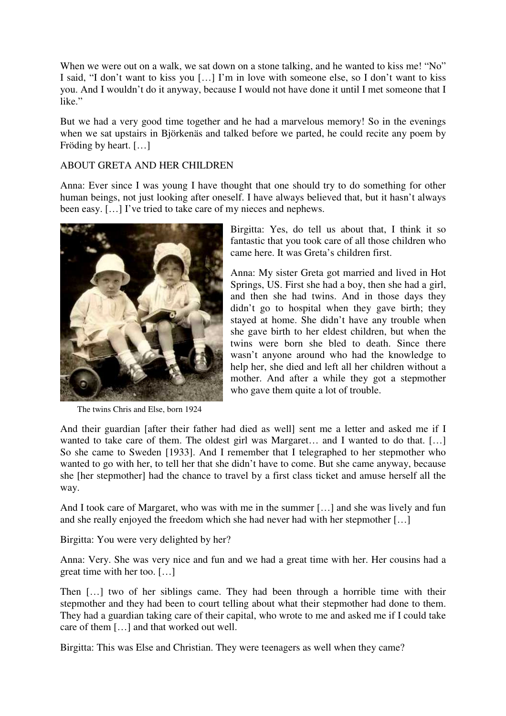When we were out on a walk, we sat down on a stone talking, and he wanted to kiss me! "No" I said, "I don't want to kiss you […] I'm in love with someone else, so I don't want to kiss you. And I wouldn't do it anyway, because I would not have done it until I met someone that I like."

But we had a very good time together and he had a marvelous memory! So in the evenings when we sat upstairs in Björkenäs and talked before we parted, he could recite any poem by Fröding by heart. […]

#### ABOUT GRETA AND HER CHILDREN

Anna: Ever since I was young I have thought that one should try to do something for other human beings, not just looking after oneself. I have always believed that, but it hasn't always been easy. [...] I've tried to take care of my nieces and nephews.



The twins Chris and Else, born 1924

Birgitta: Yes, do tell us about that, I think it so fantastic that you took care of all those children who came here. It was Greta's children first.

Anna: My sister Greta got married and lived in Hot Springs, US. First she had a boy, then she had a girl, and then she had twins. And in those days they didn't go to hospital when they gave birth; they stayed at home. She didn't have any trouble when she gave birth to her eldest children, but when the twins were born she bled to death. Since there wasn't anyone around who had the knowledge to help her, she died and left all her children without a mother. And after a while they got a stepmother who gave them quite a lot of trouble.

And their guardian [after their father had died as well] sent me a letter and asked me if I wanted to take care of them. The oldest girl was Margaret... and I wanted to do that. [...] So she came to Sweden [1933]. And I remember that I telegraphed to her stepmother who wanted to go with her, to tell her that she didn't have to come. But she came anyway, because she [her stepmother] had the chance to travel by a first class ticket and amuse herself all the way.

And I took care of Margaret, who was with me in the summer […] and she was lively and fun and she really enjoyed the freedom which she had never had with her stepmother […]

Birgitta: You were very delighted by her?

Anna: Very. She was very nice and fun and we had a great time with her. Her cousins had a great time with her too. […]

Then […] two of her siblings came. They had been through a horrible time with their stepmother and they had been to court telling about what their stepmother had done to them. They had a guardian taking care of their capital, who wrote to me and asked me if I could take care of them […] and that worked out well.

Birgitta: This was Else and Christian. They were teenagers as well when they came?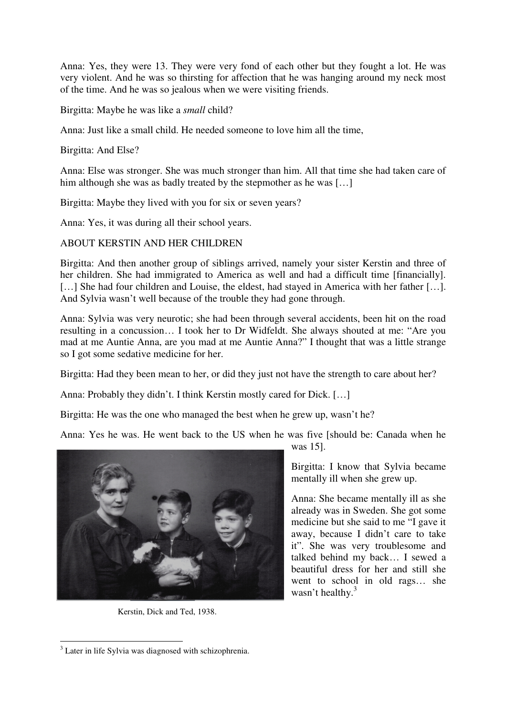Anna: Yes, they were 13. They were very fond of each other but they fought a lot. He was very violent. And he was so thirsting for affection that he was hanging around my neck most of the time. And he was so jealous when we were visiting friends.

Birgitta: Maybe he was like a *small* child?

Anna: Just like a small child. He needed someone to love him all the time,

Birgitta: And Else?

Anna: Else was stronger. She was much stronger than him. All that time she had taken care of him although she was as badly treated by the stepmother as he was [...]

Birgitta: Maybe they lived with you for six or seven years?

Anna: Yes, it was during all their school years.

# ABOUT KERSTIN AND HER CHILDREN

Birgitta: And then another group of siblings arrived, namely your sister Kerstin and three of her children. She had immigrated to America as well and had a difficult time [financially]. [...] She had four children and Louise, the eldest, had stayed in America with her father [...]. And Sylvia wasn't well because of the trouble they had gone through.

Anna: Sylvia was very neurotic; she had been through several accidents, been hit on the road resulting in a concussion… I took her to Dr Widfeldt. She always shouted at me: "Are you mad at me Auntie Anna, are you mad at me Auntie Anna?" I thought that was a little strange so I got some sedative medicine for her.

Birgitta: Had they been mean to her, or did they just not have the strength to care about her?

Anna: Probably they didn't. I think Kerstin mostly cared for Dick. […]

Birgitta: He was the one who managed the best when he grew up, wasn't he?

Anna: Yes he was. He went back to the US when he was five [should be: Canada when he



Kerstin, Dick and Ted, 1938.

was 15].

Birgitta: I know that Sylvia became mentally ill when she grew up.

Anna: She became mentally ill as she already was in Sweden. She got some medicine but she said to me "I gave it away, because I didn't care to take it". She was very troublesome and talked behind my back… I sewed a beautiful dress for her and still she went to school in old rags… she wasn't healthy.<sup>3</sup>

 $\overline{a}$ 

<sup>&</sup>lt;sup>3</sup> Later in life Sylvia was diagnosed with schizophrenia.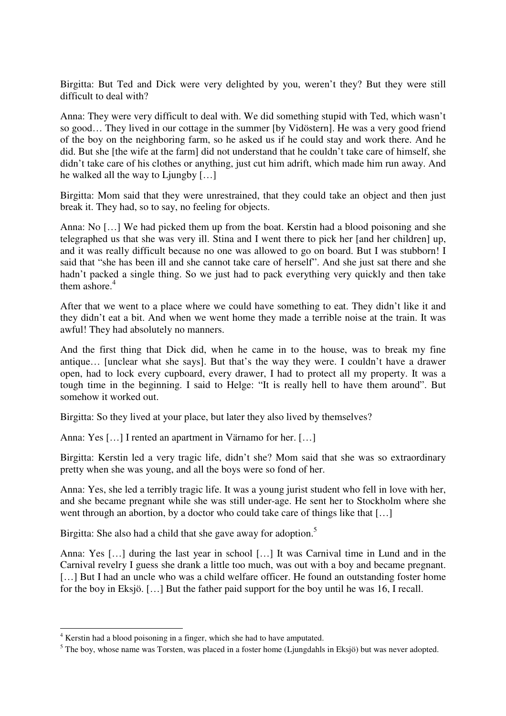Birgitta: But Ted and Dick were very delighted by you, weren't they? But they were still difficult to deal with?

Anna: They were very difficult to deal with. We did something stupid with Ted, which wasn't so good… They lived in our cottage in the summer [by Vidöstern]. He was a very good friend of the boy on the neighboring farm, so he asked us if he could stay and work there. And he did. But she [the wife at the farm] did not understand that he couldn't take care of himself, she didn't take care of his clothes or anything, just cut him adrift, which made him run away. And he walked all the way to Ljungby […]

Birgitta: Mom said that they were unrestrained, that they could take an object and then just break it. They had, so to say, no feeling for objects.

Anna: No […] We had picked them up from the boat. Kerstin had a blood poisoning and she telegraphed us that she was very ill. Stina and I went there to pick her [and her children] up, and it was really difficult because no one was allowed to go on board. But I was stubborn! I said that "she has been ill and she cannot take care of herself". And she just sat there and she hadn't packed a single thing. So we just had to pack everything very quickly and then take them ashore. $4$ 

After that we went to a place where we could have something to eat. They didn't like it and they didn't eat a bit. And when we went home they made a terrible noise at the train. It was awful! They had absolutely no manners.

And the first thing that Dick did, when he came in to the house, was to break my fine antique… [unclear what she says]. But that's the way they were. I couldn't have a drawer open, had to lock every cupboard, every drawer, I had to protect all my property. It was a tough time in the beginning. I said to Helge: "It is really hell to have them around". But somehow it worked out.

Birgitta: So they lived at your place, but later they also lived by themselves?

Anna: Yes […] I rented an apartment in Värnamo for her. […]

Birgitta: Kerstin led a very tragic life, didn't she? Mom said that she was so extraordinary pretty when she was young, and all the boys were so fond of her.

Anna: Yes, she led a terribly tragic life. It was a young jurist student who fell in love with her, and she became pregnant while she was still under-age. He sent her to Stockholm where she went through an abortion, by a doctor who could take care of things like that [...]

Birgitta: She also had a child that she gave away for adoption.<sup>5</sup>

Anna: Yes […] during the last year in school […] It was Carnival time in Lund and in the Carnival revelry I guess she drank a little too much, was out with a boy and became pregnant. [...] But I had an uncle who was a child welfare officer. He found an outstanding foster home for the boy in Eksjö. […] But the father paid support for the boy until he was 16, I recall.

 $\overline{a}$ 

<sup>&</sup>lt;sup>4</sup> Kerstin had a blood poisoning in a finger, which she had to have amputated.

 $<sup>5</sup>$  The boy, whose name was Torsten, was placed in a foster home (Ljungdahls in Eksjö) but was never adopted.</sup>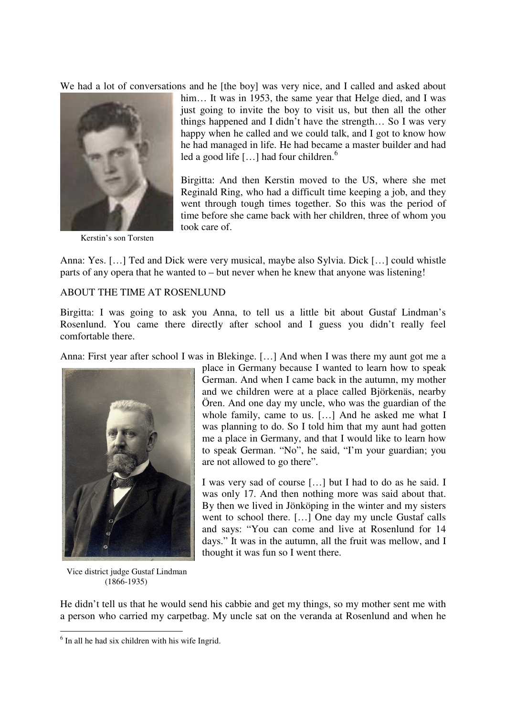We had a lot of conversations and he [the boy] was very nice, and I called and asked about



Kerstin's son Torsten

him... It was in 1953, the same year that Helge died, and I was just going to invite the boy to visit us, but then all the other things happened and I didn't have the strength… So I was very happy when he called and we could talk, and I got to know how he had managed in life. He had became a master builder and had led a good life [...] had four children.<sup>6</sup>

Birgitta: And then Kerstin moved to the US, where she met Reginald Ring, who had a difficult time keeping a job, and they went through tough times together. So this was the period of time before she came back with her children, three of whom you took care of.

Anna: Yes. […] Ted and Dick were very musical, maybe also Sylvia. Dick […] could whistle parts of any opera that he wanted to – but never when he knew that anyone was listening!

#### ABOUT THE TIME AT ROSENLUND

Birgitta: I was going to ask you Anna, to tell us a little bit about Gustaf Lindman's Rosenlund. You came there directly after school and I guess you didn't really feel comfortable there.

Anna: First year after school I was in Blekinge. […] And when I was there my aunt got me a



 Vice district judge Gustaf Lindman (1866-1935)

 $\overline{a}$ 

place in Germany because I wanted to learn how to speak German. And when I came back in the autumn, my mother and we children were at a place called Björkenäs, nearby Ören. And one day my uncle, who was the guardian of the whole family, came to us. […] And he asked me what I was planning to do. So I told him that my aunt had gotten me a place in Germany, and that I would like to learn how to speak German. "No", he said, "I'm your guardian; you are not allowed to go there".

I was very sad of course […] but I had to do as he said. I was only 17. And then nothing more was said about that. By then we lived in Jönköping in the winter and my sisters went to school there. […] One day my uncle Gustaf calls and says: "You can come and live at Rosenlund for 14 days." It was in the autumn, all the fruit was mellow, and I thought it was fun so I went there.

He didn't tell us that he would send his cabbie and get my things, so my mother sent me with a person who carried my carpetbag. My uncle sat on the veranda at Rosenlund and when he

<sup>&</sup>lt;sup>6</sup> In all he had six children with his wife Ingrid.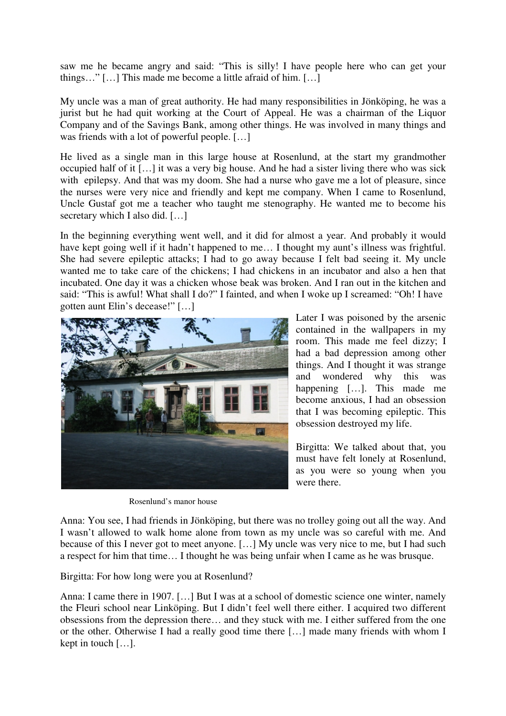saw me he became angry and said: "This is silly! I have people here who can get your things…" […] This made me become a little afraid of him. […]

My uncle was a man of great authority. He had many responsibilities in Jönköping, he was a jurist but he had quit working at the Court of Appeal. He was a chairman of the Liquor Company and of the Savings Bank, among other things. He was involved in many things and was friends with a lot of powerful people. […]

He lived as a single man in this large house at Rosenlund, at the start my grandmother occupied half of it […] it was a very big house. And he had a sister living there who was sick with epilepsy. And that was my doom. She had a nurse who gave me a lot of pleasure, since the nurses were very nice and friendly and kept me company. When I came to Rosenlund, Uncle Gustaf got me a teacher who taught me stenography. He wanted me to become his secretary which I also did. […]

In the beginning everything went well, and it did for almost a year. And probably it would have kept going well if it hadn't happened to me… I thought my aunt's illness was frightful. She had severe epileptic attacks; I had to go away because I felt bad seeing it. My uncle wanted me to take care of the chickens; I had chickens in an incubator and also a hen that incubated. One day it was a chicken whose beak was broken. And I ran out in the kitchen and said: "This is awful! What shall I do?" I fainted, and when I woke up I screamed: "Oh! I have gotten aunt Elin's decease!" […]



Rosenlund's manor house

Later I was poisoned by the arsenic contained in the wallpapers in my room. This made me feel dizzy; I had a bad depression among other things. And I thought it was strange and wondered why this was happening […]. This made me become anxious, I had an obsession that I was becoming epileptic. This obsession destroyed my life.

Birgitta: We talked about that, you must have felt lonely at Rosenlund, as you were so young when you were there.

Anna: You see, I had friends in Jönköping, but there was no trolley going out all the way. And I wasn't allowed to walk home alone from town as my uncle was so careful with me. And because of this I never got to meet anyone. […] My uncle was very nice to me, but I had such a respect for him that time… I thought he was being unfair when I came as he was brusque.

Birgitta: For how long were you at Rosenlund?

Anna: I came there in 1907. […] But I was at a school of domestic science one winter, namely the Fleuri school near Linköping. But I didn't feel well there either. I acquired two different obsessions from the depression there… and they stuck with me. I either suffered from the one or the other. Otherwise I had a really good time there […] made many friends with whom I kept in touch […].